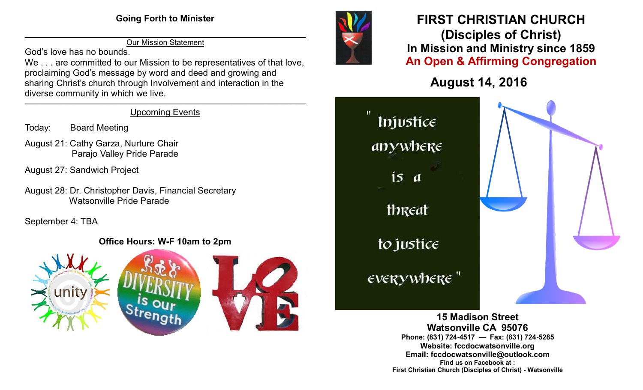$\overline{\phantom{a}}$  , and the contribution of the contribution of the contribution of the contribution of the contribution of the contribution of the contribution of the contribution of the contribution of the contribution of the Our Mission Statement

God's love has no bounds.

We . . . are committed to our Mission to be representatives of that love. proclaiming God's message by word and deed and growing and sharing Christ's church through Involvement and interaction in the diverse community in which we live.

#### \_\_\_\_\_\_\_\_\_\_\_\_\_\_\_\_\_\_\_\_\_\_\_\_\_\_\_\_\_\_\_\_\_\_\_\_\_\_\_\_\_\_\_\_\_\_\_\_\_\_\_\_\_\_\_\_\_\_\_\_\_\_\_\_\_\_\_\_\_\_\_\_\_\_\_\_\_\_\_\_\_\_\_\_\_\_\_\_\_\_\_\_\_\_\_\_\_\_\_ Upcoming Events

- Today: Board Meeting
- August 21: Cathy Garza, Nurture Chair Parajo Valley Pride Parade
- August 27: Sandwich Project
- August 28: Dr. Christopher Davis, Financial Secretary Watsonville Pride Parade

September 4: TBA

### **Office Hours: W-F 10am to 2pm**





## **FIRST CHRISTIAN CHURCH (Disciples of Christ) In Mission and Ministry since 1859 An Open & Affirming Congregation**

# **August 14, 2016**



**15 Madison Street Watsonville CA 95076 Phone: (831) 724-4517 — Fax: (831) 724-5285 Website: fccdocwatsonville.org Email: fccdocwatsonville@outlook.com Find us on Facebook at : First Christian Church (Disciples of Christ) - Watsonville**